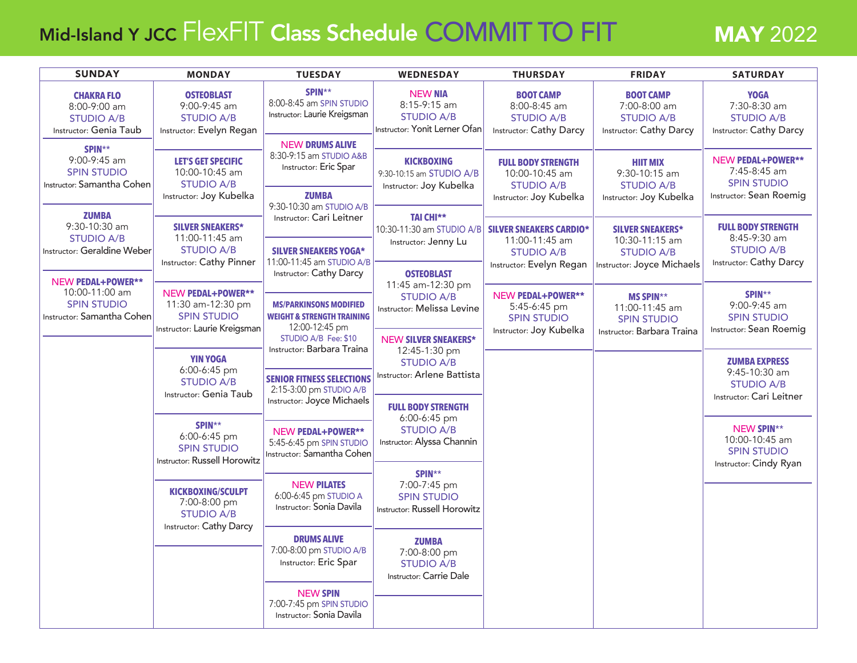## Mid-Island Y JCC FlexFIT Class Schedule COMMIT TO FIT MAY 2022

| <b>SUNDAY</b>                                                                    | <b>MONDAY</b>                                                                                       | <b>TUESDAY</b>                                                                                                                                  | <b>WEDNESDAY</b>                                                                                        | <b>THURSDAY</b>                                                                           | <b>FRIDAY</b>                                                                                | <b>SATURDAY</b>                                                                                                                                                                 |
|----------------------------------------------------------------------------------|-----------------------------------------------------------------------------------------------------|-------------------------------------------------------------------------------------------------------------------------------------------------|---------------------------------------------------------------------------------------------------------|-------------------------------------------------------------------------------------------|----------------------------------------------------------------------------------------------|---------------------------------------------------------------------------------------------------------------------------------------------------------------------------------|
| <b>CHAKRA FLO</b><br>8:00-9:00 am<br><b>STUDIO A/B</b><br>Instructor: Genia Taub | <b>OSTEOBLAST</b><br>9:00-9:45 am<br><b>STUDIO A/B</b><br>Instructor: Evelyn Regan                  | SPIN**<br>8:00-8:45 am SPIN STUDIO<br>Instructor: Laurie Kreigsman                                                                              | <b>NEW NIA</b><br>8:15-9:15 am<br><b>STUDIO A/B</b><br>Instructor: Yonit Lerner Ofan                    | <b>BOOT CAMP</b><br>8:00-8:45 am<br><b>STUDIO A/B</b><br><b>Instructor: Cathy Darcy</b>   | <b>BOOT CAMP</b><br>7:00-8:00 am<br><b>STUDIO A/B</b><br><b>Instructor: Cathy Darcy</b>      | <b>YOGA</b><br>7:30-8:30 am<br><b>STUDIO A/B</b><br>Instructor: Cathy Darcy                                                                                                     |
| SPIN**<br>9:00-9:45 am<br><b>SPIN STUDIO</b><br>Instructor: Samantha Cohen       | <b>LET'S GET SPECIFIC</b><br>10:00-10:45 am<br><b>STUDIO A/B</b>                                    | <b>NEW DRUMS ALIVE</b><br>8:30-9:15 am STUDIO A&B<br>Instructor: Eric Spar                                                                      | <b>KICKBOXING</b><br>9:30-10:15 am STUDIO A/B<br>Instructor: Joy Kubelka                                | <b>FULL BODY STRENGTH</b><br>10:00-10:45 am<br><b>STUDIO A/B</b>                          | <b>HIIT MIX</b><br>9:30-10:15 am<br><b>STUDIO A/B</b>                                        | NEW PEDAL+POWER**<br>7:45-8:45 am<br><b>SPIN STUDIO</b>                                                                                                                         |
| <b>ZUMBA</b>                                                                     | Instructor: Joy Kubelka                                                                             | <b>ZUMBA</b><br>9:30-10:30 am STUDIO A/B<br>Instructor: Cari Leitner                                                                            | <b>TAI CHI**</b>                                                                                        | Instructor: Joy Kubelka                                                                   | Instructor: Joy Kubelka                                                                      | Instructor: Sean Roemig                                                                                                                                                         |
| 9:30-10:30 am<br><b>STUDIO A/B</b><br><b>Instructor: Geraldine Weber</b>         | <b>SILVER SNEAKERS*</b><br>11:00-11:45 am<br><b>STUDIO A/B</b><br>Instructor: Cathy Pinner          | <b>SILVER SNEAKERS YOGA*</b><br>11:00-11:45 am STUDIO A/B                                                                                       | 10:30-11:30 am STUDIO A/B SILVER SNEAKERS CARDIO*<br>Instructor: Jenny Lu                               | 11:00-11:45 am<br><b>STUDIO A/B</b><br>Instructor: Evelyn Regan                           | <b>SILVER SNEAKERS*</b><br>10:30-11:15 am<br><b>STUDIO A/B</b><br>Instructor: Joyce Michaels | <b>FULL BODY STRENGTH</b><br>8:45-9:30 am<br><b>STUDIO A/B</b><br>Instructor: Cathy Darcy                                                                                       |
| <b>NEW PEDAL+POWER**</b><br>10:00-11:00 am                                       |                                                                                                     | Instructor: Cathy Darcy                                                                                                                         | <b>OSTEOBLAST</b><br>11:45 am-12:30 pm                                                                  |                                                                                           |                                                                                              |                                                                                                                                                                                 |
| <b>SPIN STUDIO</b><br>Instructor: Samantha Cohen                                 | <b>NEW PEDAL+POWER**</b><br>11:30 am-12:30 pm<br><b>SPIN STUDIO</b><br>Instructor: Laurie Kreigsman | <b>MS/PARKINSONS MODIFIED</b><br><b>WEIGHT &amp; STRENGTH TRAINING</b><br>12:00-12:45 pm                                                        | <b>STUDIO A/B</b><br>Instructor: Melissa Levine                                                         | <b>NEW PEDAL+POWER**</b><br>5:45-6:45 pm<br><b>SPIN STUDIO</b><br>Instructor: Joy Kubelka | <b>MS SPIN**</b><br>11:00-11:45 am<br><b>SPIN STUDIO</b><br>Instructor: Barbara Traina       | SPIN**<br>9:00-9:45 am<br><b>SPIN STUDIO</b><br>Instructor: Sean Roemig                                                                                                         |
|                                                                                  | <b>YIN YOGA</b><br>6:00-6:45 pm<br><b>STUDIO A/B</b>                                                | STUDIO A/B Fee: \$10<br>Instructor: Barbara Traina<br><b>SENIOR FITNESS SELECTIONS</b><br>2:15-3:00 pm STUDIO A/B<br>Instructor: Joyce Michaels | <b>NEW SILVER SNEAKERS*</b><br>12:45-1:30 pm<br><b>STUDIO A/B</b><br><b>Instructor: Arlene Battista</b> |                                                                                           |                                                                                              | <b>ZUMBA EXPRESS</b><br>$9:45-10:30$ am<br><b>STUDIO A/B</b><br>Instructor: Cari Leitner<br><b>NEW SPIN**</b><br>10:00-10:45 am<br><b>SPIN STUDIO</b><br>Instructor: Cindy Ryan |
|                                                                                  | Instructor: Genia Taub                                                                              |                                                                                                                                                 | <b>FULL BODY STRENGTH</b><br>6:00-6:45 pm<br><b>STUDIO A/B</b><br>Instructor: Alyssa Channin            |                                                                                           |                                                                                              |                                                                                                                                                                                 |
|                                                                                  | SPIN**<br>6:00-6:45 pm<br><b>SPIN STUDIO</b><br>Instructor: Russell Horowitz                        | NEW PEDAL+POWER**<br>5:45-6:45 pm SPIN STUDIO<br>Instructor: Samantha Cohen                                                                     |                                                                                                         |                                                                                           |                                                                                              |                                                                                                                                                                                 |
|                                                                                  | <b>KICKBOXING/SCULPT</b><br>7:00-8:00 pm<br><b>STUDIO A/B</b><br>Instructor: Cathy Darcy            | <b>NEW PILATES</b><br>6:00-6:45 pm STUDIO A<br>Instructor: Sonia Davila                                                                         | SPIN**<br>7:00-7:45 pm<br><b>SPIN STUDIO</b><br>Instructor: Russell Horowitz                            |                                                                                           |                                                                                              |                                                                                                                                                                                 |
|                                                                                  |                                                                                                     | <b>DRUMS ALIVE</b><br>7:00-8:00 pm STUDIO A/B<br>Instructor: Eric Spar                                                                          | <b>ZUMBA</b><br>7:00-8:00 pm<br><b>STUDIO A/B</b><br>Instructor: Carrie Dale                            |                                                                                           |                                                                                              |                                                                                                                                                                                 |
|                                                                                  |                                                                                                     | <b>NEW SPIN</b><br>7:00-7:45 pm SPIN STUDIO<br>Instructor: Sonia Davila                                                                         |                                                                                                         |                                                                                           |                                                                                              |                                                                                                                                                                                 |